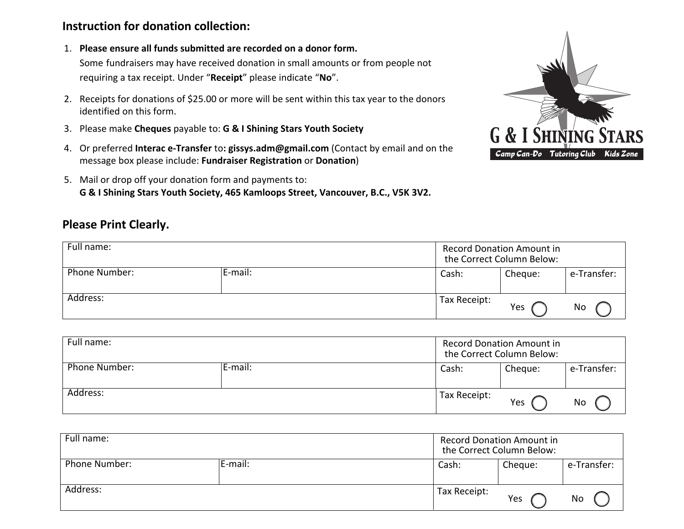## **Instruction for donation collection:**

1. **Please ensure all funds submitted are recorded on a donor form.**

Some fundraisers may have received donation in small amounts or from people not requiring a tax receipt. Under "**Receipt**" please indicate "**No**".

- 2. Receipts for donations of \$25.00 or more will be sent within this tax year to the donors identified on this form.
- 3. Please make **Cheques** payable to: **G & I Shining Stars Youth Society**
- 4. Or preferred **Interac e-Transfer** to**: gissys.adm@gmail.com** (Contact by email and on the message box please include: **Fundraiser Registration** or **Donation**)
- 5. Mail or drop off your donation form and payments to: **G & I Shining Stars Youth Society, 465 Kamloops Street, Vancouver, B.C., V5K 3V2.**

## **Please Print Clearly.**

| Full name:    |         | <b>Record Donation Amount in</b><br>the Correct Column Below: |     |             |
|---------------|---------|---------------------------------------------------------------|-----|-------------|
| Phone Number: | E-mail: | Cheque:<br>Cash:                                              |     | e-Transfer: |
| Address:      |         | Tax Receipt:                                                  | Yes | No          |

| Full name:               |  | <b>Record Donation Amount in</b><br>the Correct Column Below: |         |             |
|--------------------------|--|---------------------------------------------------------------|---------|-------------|
| Phone Number:<br>E-mail: |  | Cash:                                                         | Cheque: | e-Transfer: |
| Address:                 |  | Tax Receipt:                                                  | Yes     | No          |

| Full name:    |         | <b>Record Donation Amount in</b><br>the Correct Column Below: |     |             |
|---------------|---------|---------------------------------------------------------------|-----|-------------|
| Phone Number: | E-mail: | Cheque:<br>Cash:                                              |     | e-Transfer: |
| Address:      |         | Tax Receipt:                                                  | Yes | No          |